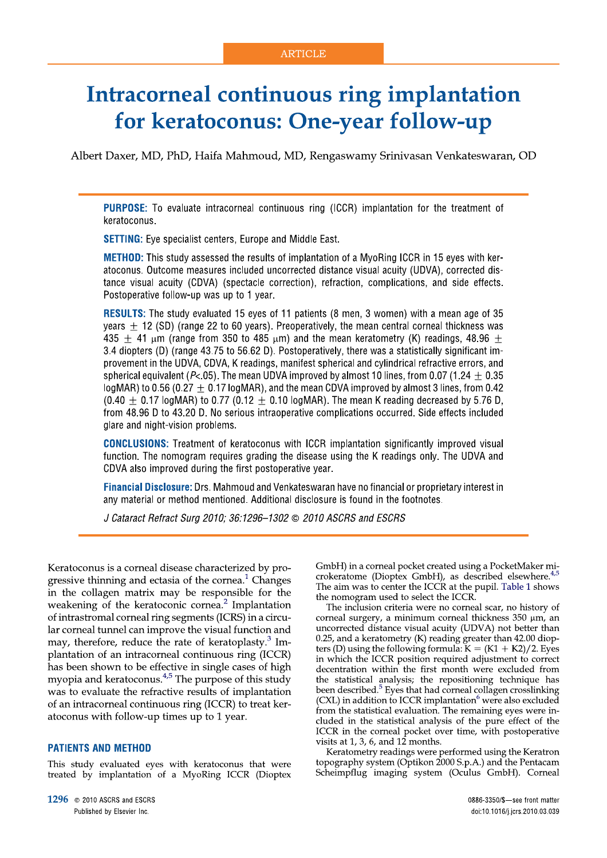# **Intracorneal continuous ring implantation** for keratoconus: One-year follow-up

Albert Daxer, MD, PhD, Haifa Mahmoud, MD, Rengaswamy Srinivasan Venkateswaran, OD

**PURPOSE:** To evaluate intracorneal continuous ring (ICCR) implantation for the treatment of keratoconus.

**SETTING:** Eye specialist centers, Europe and Middle East.

**METHOD:** This study assessed the results of implantation of a MyoRing ICCR in 15 eyes with keratoconus. Outcome measures included uncorrected distance visual acuity (UDVA), corrected distance visual acuity (CDVA) (spectacle correction), refraction, complications, and side effects. Postoperative follow-up was up to 1 year.

RESULTS: The study evaluated 15 eyes of 11 patients (8 men, 3 women) with a mean age of 35 vears  $+$  12 (SD) (range 22 to 60 years). Preoperatively, the mean central corneal thickness was 435  $\pm$  41 µm (range from 350 to 485 µm) and the mean keratometry (K) readings, 48.96  $\pm$ 3.4 diopters (D) (range 43.75 to 56.62 D). Postoperatively, there was a statistically significant improvement in the UDVA, CDVA, K readings, manifest spherical and cylindrical refractive errors, and spherical equivalent ( $P < 0.05$ ). The mean UDVA improved by almost 10 lines, from 0.07 (1.24 + 0.35 logMAR) to 0.56 (0.27  $\pm$  0.17 logMAR), and the mean CDVA improved by almost 3 lines, from 0.42  $(0.40 + 0.17)$  logMAR) to 0.77 (0.12 + 0.10 logMAR). The mean K reading decreased by 5.76 D. from 48.96 D to 43.20 D. No serious intraoperative complications occurred. Side effects included glare and night-vision problems.

**CONCLUSIONS:** Treatment of keratoconus with ICCR implantation significantly improved visual function. The nomogram requires grading the disease using the K readings only. The UDVA and CDVA also improved during the first postoperative year.

Financial Disclosure: Drs. Mahmoud and Venkateswaran have no financial or proprietary interest in any material or method mentioned. Additional disclosure is found in the footnotes.

J Cataract Refract Surg 2010; 36:1296-1302 @ 2010 ASCRS and ESCRS

Keratoconus is a corneal disease characterized by progressive thinning and ectasia of the cornea.<sup>1</sup> Changes in the collagen matrix may be responsible for the weakening of the keratoconic cornea.<sup>2</sup> Implantation of intrastromal corneal ring segments (ICRS) in a circular corneal tunnel can improve the visual function and may, therefore, reduce the rate of keratoplasty.<sup>3</sup> Implantation of an intracorneal continuous ring (ICCR) has been shown to be effective in single cases of high myopia and keratoconus.<sup>4,5</sup> The purpose of this study was to evaluate the refractive results of implantation of an intracorneal continuous ring (ICCR) to treat keratoconus with follow-up times up to 1 year.

### **PATIENTS AND METHOD**

This study evaluated eves with keratoconus that were treated by implantation of a MyoRing ICCR (Dioptex

1296 @ 2010 ASCRS and ESCRS Published by Elsevier Inc.

GmbH) in a corneal pocket created using a PocketMaker microkeratome (Dioptex GmbH), as described elsewhere.<sup>4,5</sup> The aim was to center the ICCR at the pupil. Table 1 shows the nomogram used to select the ICCR.

The inclusion criteria were no corneal scar, no history of corneal surgery, a minimum corneal thickness  $350 \mu m$ , an uncorrected distance visual acuity (UDVA) not better than 0.25, and a keratometry (K) reading greater than 42.00 diopters (D) using the following formula:  $K = (K1 + K2)/2$ . Eyes in which the ICCR position required adjustment to correct decentration within the first month were excluded from the statistical analysis; the repositioning technique has been described.<sup>5</sup> Eyes that had corneal collagen crosslinking (CXL) in addition to ICCR implantation<sup>6</sup> were also excluded from the statistical evaluation. The remaining eyes were included in the statistical analysis of the pure effect of the ICCR in the corneal pocket over time, with postoperative visits at 1, 3, 6, and  $12$  months.

Keratometry readings were performed using the Keratron topography system (Optikon 2000 S.p.A.) and the Pentacam Scheimpflug imaging system (Oculus GmbH). Corneal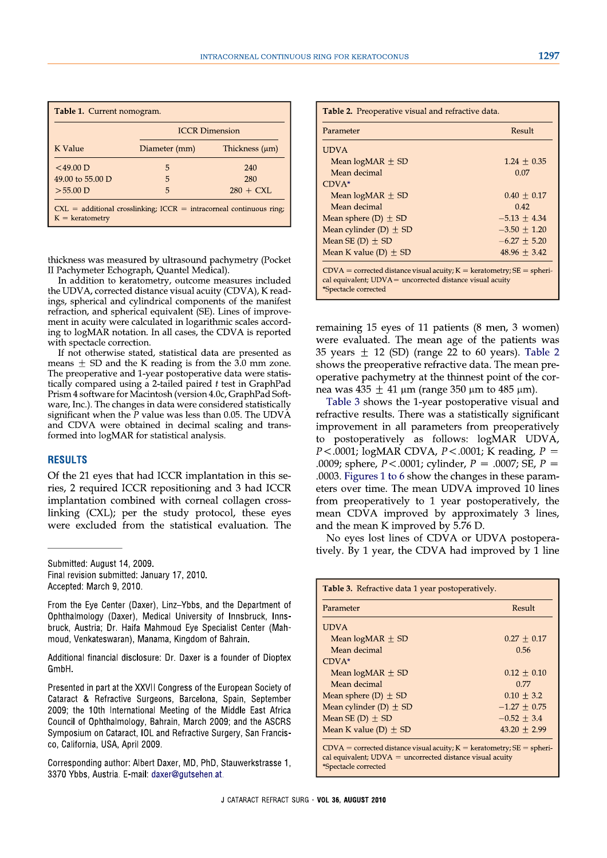| <i><b>Middle East Africa</b></i> | Mean cylinder $(D)$ $\equiv$  |
|----------------------------------|-------------------------------|
|                                  | $M_{\rm con}$ CE (D) $\pm$ CD |

Parameter

**UDVA** 

| implantation combined with corneal collagen cross- |   |  |
|----------------------------------------------------|---|--|
| linking (CXL); per the study protocol, these eyes  | r |  |
| were excluded from the statistical evaluation. The | ε |  |
|                                                    |   |  |
| Submitted: August 14, 2009.                        |   |  |

Final revision submitted: January 17, 2010. Accepted: March 9, 2010.

From the Eye Center (Daxer), Linz-Ybbs, and the Department of Ophthalmology (Daxer), Medical University of Innsbruck, Innsbruck, Austria; Dr. Haifa Mahmoud Eye Specialist Center (Mahmoud, Venkateswaran), Manama, Kingdom of Bahrain.

Additional financial disclosure: Dr. Daxer is a founder of Dioptex GmbH.

Presented in part at the XXVII Congress of the European Society of Cataract & Refractive Surgeons, Barcelona, Spain, September 2009; the 10th International Meeting of the N Council of Ophthalmology, Bahrain, March 2009; and the ASCRS Symposium on Cataract, IOL and Refractive Surgery, San Francisco. California, USA, April 2009.

Corresponding author: Albert Daxer, MD, PhD, Stauwerkstrasse 1, 3370 Ybbs, Austria. E-mail: daxer@gutsehen.at.

remaining 15 eyes of 11 patients (8 men, 3 women) were evaluated. The mean age of the patients was 35 years  $\pm$  12 (SD) (range 22 to 60 years). Table 2 shows the preoperative refractive data. The mean preoperative pachymetry at the thinnest point of the cornea was  $435 \pm 41$  µm (range 350 µm to 485 µm).

Table 3 shows the 1-year postoperative visual and refractive results. There was a statistically significant improvement in all parameters from preoperatively to postoperatively as follows: logMAR UDVA,  $P < .0001$ ; logMAR CDVA,  $P < .0001$ ; K reading,  $P =$ .0009; sphere,  $P < .0001$ ; cylinder,  $P = .0007$ ; SE,  $P =$ .0003. Figures 1 to 6 show the changes in these parameters over time. The mean UDVA improved 10 lines from preoperatively to 1 year postoperatively, the mean CDVA improved by approximately 3 lines, and the mean K improved by 5.76 D.

No eyes lost lines of CDVA or UDVA postoperatively. By 1 year, the CDVA had improved by 1 line

Result

Table 3. Refractive data 1 year postoperatively.

| Mean $logMAX \pm SD$                                                                                                                                                | $0.27 + 0.17$    |  |  |
|---------------------------------------------------------------------------------------------------------------------------------------------------------------------|------------------|--|--|
| Mean decimal                                                                                                                                                        | 0.56             |  |  |
| $CDVA*$                                                                                                                                                             |                  |  |  |
| Mean $logMR \pm SD$                                                                                                                                                 | $0.12 + 0.10$    |  |  |
| Mean decimal                                                                                                                                                        | 0.77             |  |  |
| Mean sphere $(D) \pm SD$                                                                                                                                            | $0.10 + 3.2$     |  |  |
| Mean cylinder $(D) \pm SD$                                                                                                                                          | $-1.27 + 0.75$   |  |  |
| Mean SE (D) $\pm$ SD                                                                                                                                                | $-0.52 + 3.4$    |  |  |
| Mean K value (D) $\pm$ SD                                                                                                                                           | $43.20 \pm 2.99$ |  |  |
| $CDVA =$ corrected distance visual acuity; $K =$ keratometry; $SE =$ spheri-<br>cal equivalent; $UDVA =$ uncorrected distance visual acuity<br>*Spectacle corrected |                  |  |  |

**ICCR Dimension** 

Thickness  $(\mu m)$ 

240

280

 $280 + CXL$ 

In addition to keratometry, outcome measures included the UDVA, corrected distance visual acuity (CDVA), K readings, spherical and cylindrical components of the manifest refraction, and spherical equivalent (SE). Lines of improvement in acuity were calculated in logarithmic scales according to logMAR notation. In all cases, the CDVA is reported with spectacle correction.

If not otherwise stated, statistical data are presented as means  $\pm$  SD and the K reading is from the 3.0 mm zone. The preoperative and 1-year postoperative data were statistically compared using a 2-tailed paired  $t$  test in GraphPad Prism 4 software for Macintosh (version 4.0c, GraphPad Software, Inc.). The changes in data were considered statistically significant when the  $\overline{P}$  value was less than 0.05. The UDVA and CDVA were obtained in decimal scaling and transformed into logMAR for statistical analysis.

Of the 21 eyes that had ICCR implantation in this se-

ries, 2 required ICCR repositioning and 3 had ICCR

# II Pachymeter Echograph, Quantel Medical).

Diameter (mm)

 $\overline{5}$ 

5

5

 $CXL = additional crosslinking$ ;  $ICCR = intracorneal continuous ring$ ;

Table 1. Current nomogram.

**K** Value

 $<$  49 00 D

 $>55.00$  D

**RESULTS** 

49.00 to 55.00 D

 $K =$  keratometry

thickness was measured by ultrasound pachymetry (Pocket

| Table 2. Preoperative visual and refractive data.                                                                                                                   |                  |  |  |
|---------------------------------------------------------------------------------------------------------------------------------------------------------------------|------------------|--|--|
| Parameter                                                                                                                                                           | Result           |  |  |
| <b>UDVA</b>                                                                                                                                                         |                  |  |  |
| Mean $logMR \pm SD$                                                                                                                                                 | $1.24 \pm 0.35$  |  |  |
| Mean decimal                                                                                                                                                        | 0.07             |  |  |
| $CDVA*$                                                                                                                                                             |                  |  |  |
| Mean $logMR$ $\pm$ SD                                                                                                                                               | $0.40 + 0.17$    |  |  |
| Mean decimal                                                                                                                                                        | 0.42             |  |  |
| Mean sphere (D) $\pm$ SD                                                                                                                                            | $-5.13 + 4.34$   |  |  |
| Mean cylinder $(D) \pm SD$                                                                                                                                          | $-3.50 \pm 1.20$ |  |  |
| Mean SE $(D) \pm SD$                                                                                                                                                | $-6.27 \pm 5.20$ |  |  |
| Mean K value (D) $\pm$ SD                                                                                                                                           | $48.96 \pm 3.42$ |  |  |
| $CDVA =$ corrected distance visual acuity; $K =$ keratometry; $SE =$ spheri-<br>cal equivalent; $UDVA =$ uncorrected distance visual acuity<br>*Spectacle corrected |                  |  |  |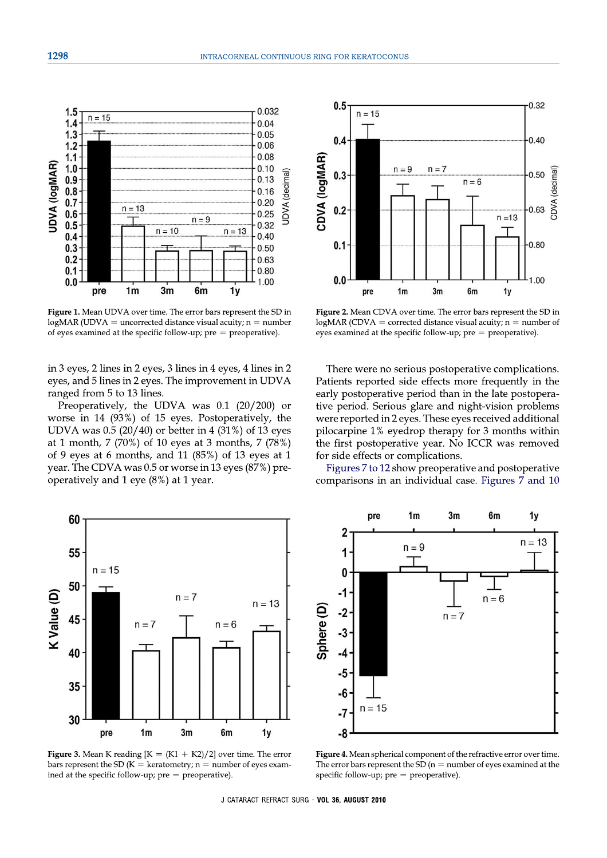

Figure 1. Mean UDVA over time. The error bars represent the SD in  $log<sub>MR</sub>$  (UDVA = uncorrected distance visual acuity; n = number of eyes examined at the specific follow-up;  $pre = preoperative$ ).

in 3 eyes, 2 lines in 2 eyes, 3 lines in 4 eyes, 4 lines in 2 eyes, and 5 lines in 2 eyes. The improvement in UDVA ranged from 5 to 13 lines.

Preoperatively, the UDVA was 0.1 (20/200) or worse in 14 (93%) of 15 eyes. Postoperatively, the UDVA was  $0.5(20/40)$  or better in 4 (31%) of 13 eyes at 1 month, 7 (70%) of 10 eyes at 3 months, 7 (78%) of 9 eyes at 6 months, and 11  $(85%)$  of 13 eyes at 1 year. The CDVA was 0.5 or worse in 13 eyes (87%) preoperatively and 1 eye  $(8\%)$  at 1 year.



Figure 2. Mean CDVA over time. The error bars represent the SD in  $log<sub>MR</sub>$  (CDVA = corrected distance visual acuity; n = number of eyes examined at the specific follow-up;  $pre = preoperative$ ).

There were no serious postoperative complications. Patients reported side effects more frequently in the early postoperative period than in the late postoperative period. Serious glare and night-vision problems were reported in 2 eyes. These eyes received additional pilocarpine 1% eyedrop therapy for 3 months within the first postoperative year. No ICCR was removed for side effects or complications.

Figures 7 to 12 show preoperative and postoperative comparisons in an individual case. Figures 7 and 10



**Figure 3.** Mean K reading  $[K = (K1 + K2)/2]$  over time. The error bars represent the SD ( $K =$  keratometry; n = number of eyes examined at the specific follow-up;  $pre = preoperative)$ .



Figure 4. Mean spherical component of the refractive error over time. The error bars represent the SD ( $n =$  number of eyes examined at the specific follow-up;  $pre = preoperative)$ .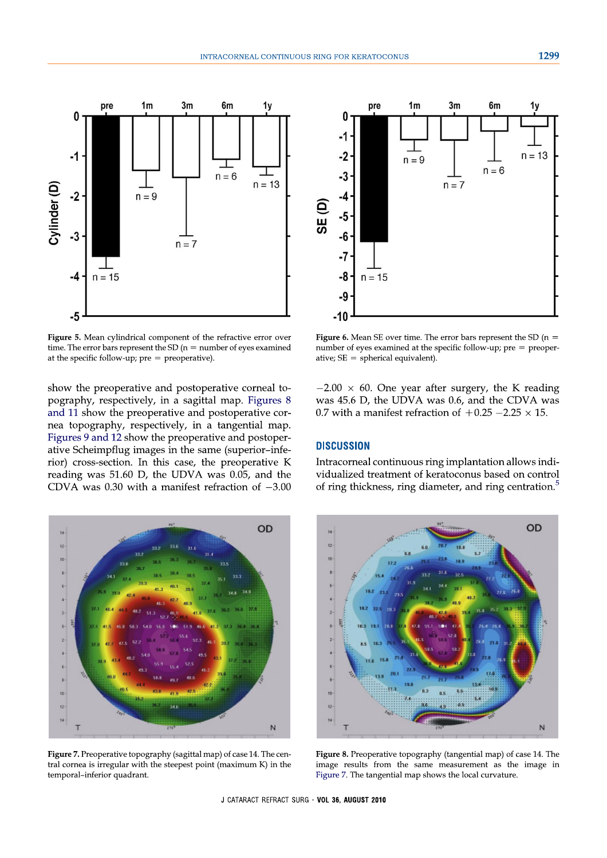

Figure 5. Mean cylindrical component of the refractive error over time. The error bars represent the SD ( $n =$  number of eyes examined at the specific follow-up;  $pre = preoperative)$ .

show the preoperative and postoperative corneal topography, respectively, in a sagittal map. Figures 8 and 11 show the preoperative and postoperative cornea topography, respectively, in a tangential map. Figures 9 and 12 show the preoperative and postoperative Scheimpflug images in the same (superior-inferior) cross-section. In this case, the preoperative K reading was 51.60 D, the UDVA was 0.05, and the CDVA was 0.30 with a manifest refraction of  $-3.00$ 



**Figure 6.** Mean SE over time. The error bars represent the SD ( $n =$ number of eyes examined at the specific follow-up;  $pre = proper$ ative;  $SE = spherical$  equivalent).

 $-2.00 \times 60$ . One year after surgery, the K reading was 45.6 D, the UDVA was 0.6, and the CDVA was 0.7 with a manifest refraction of  $+0.25 -2.25 \times 15$ .

### **DISCUSSION**

Intracorneal continuous ring implantation allows individualized treatment of keratoconus based on control of ring thickness, ring diameter, and ring centration.<sup>5</sup>



Figure 7. Preoperative topography (sagittal map) of case 14. The central cornea is irregular with the steepest point (maximum K) in the temporal-inferior quadrant.



Figure 8. Preoperative topography (tangential map) of case 14. The image results from the same measurement as the image in Figure 7. The tangential map shows the local curvature.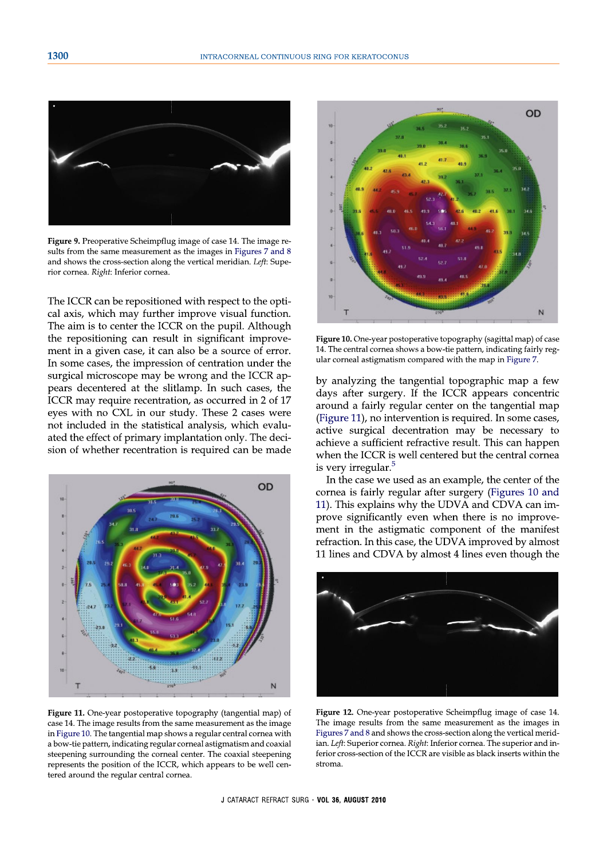

Figure 9. Preoperative Scheimpflug image of case 14. The image results from the same measurement as the images in Figures 7 and 8 and shows the cross-section along the vertical meridian. Left: Superior cornea. Right: Inferior cornea.

The ICCR can be repositioned with respect to the optical axis, which may further improve visual function. The aim is to center the ICCR on the pupil. Although the repositioning can result in significant improvement in a given case, it can also be a source of error. In some cases, the impression of centration under the surgical microscope may be wrong and the ICCR appears decentered at the slitlamp. In such cases, the ICCR may require recentration, as occurred in 2 of 17 eyes with no CXL in our study. These 2 cases were not included in the statistical analysis, which evaluated the effect of primary implantation only. The decision of whether recentration is required can be made



Figure 11. One-year postoperative topography (tangential map) of case 14. The image results from the same measurement as the image in Figure 10. The tangential map shows a regular central cornea with a bow-tie pattern, indicating regular corneal astigmatism and coaxial steepening surrounding the corneal center. The coaxial steepening represents the position of the ICCR, which appears to be well centered around the regular central cornea.



Figure 10. One-year postoperative topography (sagittal map) of case 14. The central cornea shows a bow-tie pattern, indicating fairly regular corneal astigmatism compared with the map in Figure 7.

by analyzing the tangential topographic map a few days after surgery. If the ICCR appears concentric around a fairly regular center on the tangential map (Figure 11), no intervention is required. In some cases, active surgical decentration may be necessary to achieve a sufficient refractive result. This can happen when the ICCR is well centered but the central cornea is very irregular.<sup>5</sup>

In the case we used as an example, the center of the cornea is fairly regular after surgery (Figures 10 and 11). This explains why the UDVA and CDVA can improve significantly even when there is no improvement in the astigmatic component of the manifest refraction. In this case, the UDVA improved by almost 11 lines and CDVA by almost 4 lines even though the



Figure 12. One-year postoperative Scheimpflug image of case 14. The image results from the same measurement as the images in Figures 7 and 8 and shows the cross-section along the vertical meridian. Left: Superior cornea. Right: Inferior cornea. The superior and inferior cross-section of the ICCR are visible as black inserts within the stroma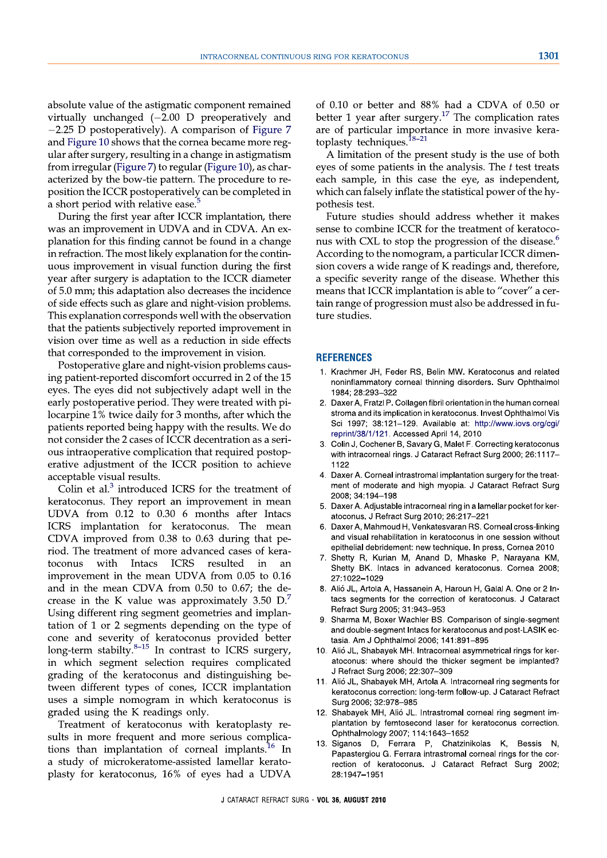absolute value of the astigmatic component remained virtually unchanged  $(-2.00)$  D preoperatively and  $-2.25$  D postoperatively). A comparison of Figure 7 and Figure 10 shows that the cornea became more regular after surgery, resulting in a change in astigmatism from irregular (Figure 7) to regular (Figure 10), as characterized by the bow-tie pattern. The procedure to reposition the ICCR postoperatively can be completed in a short period with relative ease.

During the first year after ICCR implantation, there was an improvement in UDVA and in CDVA. An explanation for this finding cannot be found in a change in refraction. The most likely explanation for the continuous improvement in visual function during the first year after surgery is adaptation to the ICCR diameter of 5.0 mm; this adaptation also decreases the incidence of side effects such as glare and night-vision problems. This explanation corresponds well with the observation that the patients subjectively reported improvement in vision over time as well as a reduction in side effects that corresponded to the improvement in vision.

Postoperative glare and night-vision problems causing patient-reported discomfort occurred in 2 of the 15 eyes. The eyes did not subjectively adapt well in the early postoperative period. They were treated with pilocarpine 1% twice daily for 3 months, after which the patients reported being happy with the results. We do not consider the 2 cases of ICCR decentration as a serious intraoperative complication that required postoperative adjustment of the ICCR position to achieve acceptable visual results.

Colin et al.<sup>3</sup> introduced ICRS for the treatment of keratoconus. They report an improvement in mean UDVA from 0.12 to 0.30 6 months after Intacs ICRS implantation for keratoconus. The mean CDVA improved from 0.38 to 0.63 during that period. The treatment of more advanced cases of kera-Intacs ICRS toconus with resulted in an improvement in the mean UDVA from 0.05 to 0.16 and in the mean CDVA from 0.50 to 0.67; the decrease in the K value was approximately  $3.50 \text{ D}$ . Using different ring segment geometries and implantation of 1 or 2 segments depending on the type of cone and severity of keratoconus provided better<br>long-term stabilty.<sup>8-15</sup> In contrast to ICRS surgery, in which segment selection requires complicated grading of the keratoconus and distinguishing between different types of cones, ICCR implantation uses a simple nomogram in which keratoconus is graded using the K readings only.

Treatment of keratoconus with keratoplasty results in more frequent and more serious complications than implantation of corneal implants.<sup>16</sup> In a study of microkeratome-assisted lamellar keratoplasty for keratoconus, 16% of eyes had a UDVA of 0.10 or better and 88% had a CDVA of 0.50 or better 1 year after surgery. $17$  The complication rates are of particular importance in more invasive keratoplasty techniques.<sup>18-21</sup>

A limitation of the present study is the use of both eyes of some patients in the analysis. The  $t$  test treats each sample, in this case the eye, as independent, which can falsely inflate the statistical power of the hypothesis test.

Future studies should address whether it makes sense to combine ICCR for the treatment of keratoconus with CXL to stop the progression of the disease.<sup>6</sup> According to the nomogram, a particular ICCR dimension covers a wide range of K readings and, therefore, a specific severity range of the disease. Whether this means that ICCR implantation is able to "cover" a certain range of progression must also be addressed in future studies.

#### **REFERENCES**

- 1. Krachmer JH, Feder RS, Belin MW. Keratoconus and related noninflammatory corneal thinning disorders. Surv Ophthalmol 1984: 28:293-322
- 2. Daxer A, Fratzl P. Collagen fibril orientation in the human corneal stroma and its implication in keratoconus. Invest Ophthalmol Vis Sci 1997; 38:121-129. Available at: http://www.iovs.org/cqi/ reprint/38/1/121. Accessed April 14, 2010
- 3. Colin J, Cochener B, Savary G, Malet F. Correcting keratoconus with intracorneal rings. J Cataract Refract Surg 2000; 26:1117-1122
- 4. Daxer A. Corneal intrastromal implantation surgery for the treatment of moderate and high myopia. J Cataract Refract Surg 2008: 34:194-198
- 5. Daxer A. Adjustable intracorneal ring in a lamellar pocket for keratoconus. J Refract Surg 2010; 26:217-221
- Daxer A, Mahmoud H, Venkatesvaran RS. Corneal cross-linking and visual rehabilitation in keratoconus in one session without epithelial debridement: new technique. In press. Cornea 2010
- 7. Shetty R, Kurian M, Anand D, Mhaske P, Narayana KM, Shetty BK. Intacs in advanced keratoconus. Cornea 2008; 27:1022-1029
- 8. Alió JL, Artola A, Hassanein A, Haroun H, Galal A. One or 2 Intacs segments for the correction of keratoconus. J Cataract Refract Surg 2005; 31:943-953
- Sharma M, Boxer Wachler BS. Comparison of single-segment and double-segment Intacs for keratoconus and post-LASIK ectasia. Am J Ophthalmol 2006; 141:891-895
- 10. Alió JL, Shabayek MH. Intracorneal asymmetrical rings for keratoconus: where should the thicker segment be implanted? J Refract Surg 2006; 22:307-309
- 11. Alió JL, Shabayek MH, Artola A. Intracorneal ring segments for keratoconus correction: long-term follow-up. J Cataract Refract Surg 2006: 32:978-985
- 12. Shabavek MH, Alió JL, Intrastromal corneal ring segment implantation by femtosecond laser for keratoconus correction. Ophthalmology 2007; 114:1643-1652
- 13. Siganos D. Ferrara P. Chatzinikolas K. Bessis N. Papastergiou G. Ferrara intrastromal corneal rings for the correction of keratoconus. J Cataract Refract Surg 2002; 28:1947-1951